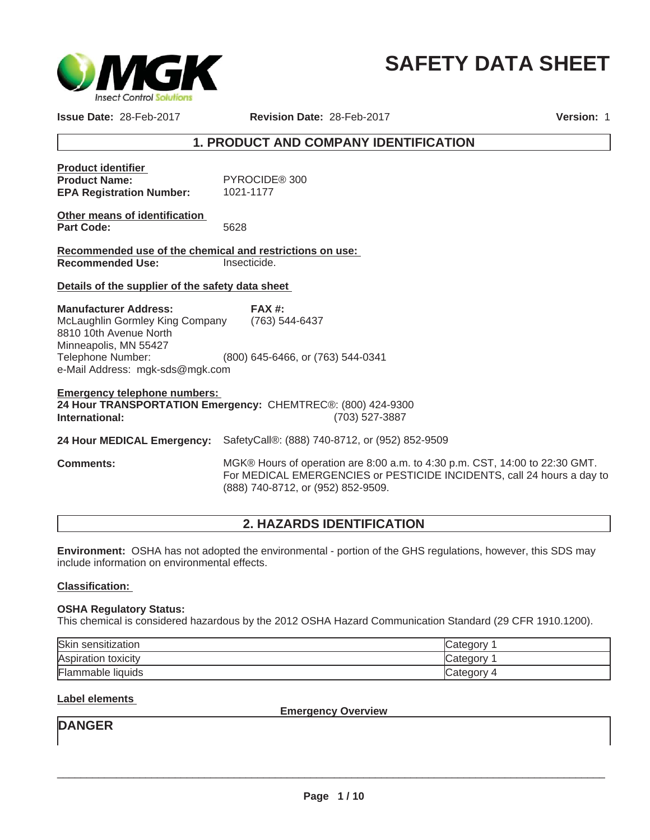

# **SAFETY DATA SHEET**

**Issue Date:** 28-Feb-2017

**Revision Date:** 28-Feb-2017

**Version:** 1

# **1. PRODUCT AND COMPANY IDENTIFICATION**

| <b>Product identifier</b>       |               |
|---------------------------------|---------------|
| <b>Product Name:</b>            | PYROCIDE® 300 |
| <b>EPA Registration Number:</b> | 1021-1177     |

| Other means of identification |      |
|-------------------------------|------|
| Part Code:                    | 5628 |

**Recommended use of the chemical and restrictions on use: Recommended Use:** Insecticide.

**Details of the supplier of the safety data sheet** 

Telephone Number: (800) 645-6466, or (763) 544-0341 e-Mail Address: mgk-sds@mgk.com **FAX #:** (763) 544-6437 **Manufacturer Address:** McLaughlin Gormley King Company 8810 10th Avenue North Minneapolis, MN 55427

**Emergency telephone numbers: 24 Hour TRANSPORTATION Emergency:** CHEMTREC®: (800) 424-9300 **International:** (703) 527-3887

**24 Hour MEDICAL Emergency:** SafetyCall®: (888) 740-8712, or (952) 852-9509

**Comments:** MGK® Hours of operation are 8:00 a.m. to 4:30 p.m. CST, 14:00 to 22:30 GMT. For MEDICAL EMERGENCIES or PESTICIDE INCIDENTS, call 24 hours a day to (888) 740-8712, or (952) 852-9509.

# **2. HAZARDS IDENTIFICATION**

**Environment:** OSHA has not adopted the environmental - portion of the GHS regulations, however, this SDS may include information on environmental effects.

## **Classification:**

#### **OSHA Regulatory Status:**

This chemical is considered hazardous by the 2012 OSHA Hazard Communication Standard (29 CFR 1910.1200).

| Skin<br>sensitization ا | Category |
|-------------------------|----------|
| Aspiration toxicity     | Category |
| Flammable liquids       | Category |

**Label elements** 

**Emergency Overview**

**DANGER**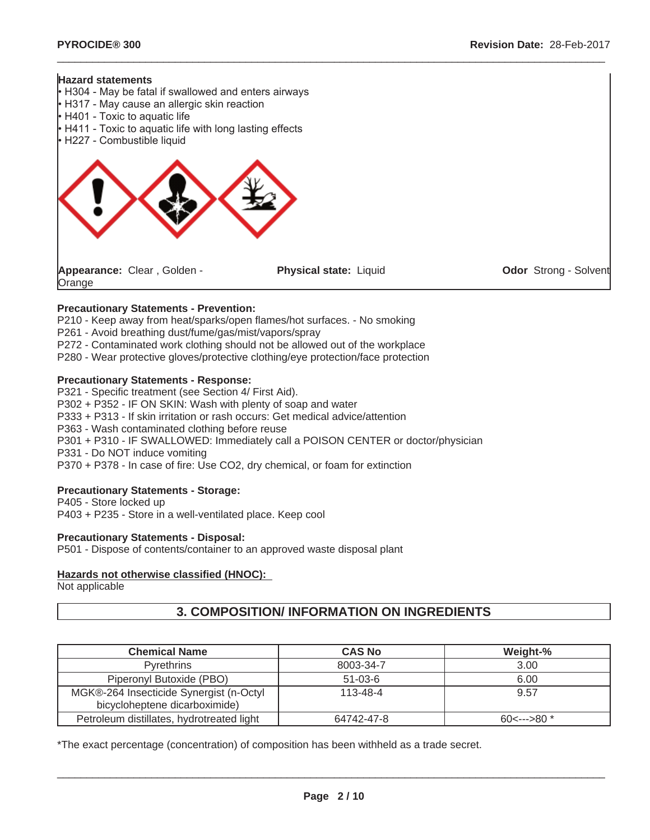#### **Hazard statements**

**Orange** 



- H317 May cause an allergic skin reaction
- H401 Toxic to aquatic life
- H411 Toxic to aquatic life with long lasting effects
- H227 Combustible liquid



**Physical state:** Liquid **Odor** Strong - Solvent

 $\_$  ,  $\_$  ,  $\_$  ,  $\_$  ,  $\_$  ,  $\_$  ,  $\_$  ,  $\_$  ,  $\_$  ,  $\_$  ,  $\_$  ,  $\_$  ,  $\_$  ,  $\_$  ,  $\_$  ,  $\_$  ,  $\_$  ,  $\_$  ,  $\_$  ,  $\_$  ,  $\_$  ,  $\_$  ,  $\_$  ,  $\_$  ,  $\_$  ,  $\_$  ,  $\_$  ,  $\_$  ,  $\_$  ,  $\_$  ,  $\_$  ,  $\_$  ,  $\_$  ,  $\_$  ,  $\_$  ,  $\_$  ,  $\_$  ,

# **Precautionary Statements - Prevention:**

P210 - Keep away from heat/sparks/open flames/hot surfaces. - No smoking

- P261 Avoid breathing dust/fume/gas/mist/vapors/spray
- P272 Contaminated work clothing should not be allowed out of the workplace

P280 - Wear protective gloves/protective clothing/eye protection/face protection

#### **Precautionary Statements - Response:**

P321 - Specific treatment (see Section 4/ First Aid).

P302 + P352 - IF ON SKIN: Wash with plenty of soap and water

P333 + P313 - If skin irritation or rash occurs: Get medical advice/attention

P363 - Wash contaminated clothing before reuse

P301 + P310 - IF SWALLOWED: Immediately call a POISON CENTER or doctor/physician

P331 - Do NOT induce vomiting

P370 + P378 - In case of fire: Use CO2, dry chemical, or foam for extinction

#### **Precautionary Statements - Storage:**

P405 - Store locked up P403 + P235 - Store in a well-ventilated place. Keep cool

#### **Precautionary Statements - Disposal:**

P501 - Dispose of contents/container to an approved waste disposal plant

#### **Hazards not otherwise classified (HNOC):**

Not applicable

# **3. COMPOSITION/ INFORMATION ON INGREDIENTS**

| <b>Chemical Name</b>                                                     | <b>CAS No</b>  | Weight-% |
|--------------------------------------------------------------------------|----------------|----------|
| <b>Pyrethrins</b>                                                        | 8003-34-7      | 3.00     |
| Piperonyl Butoxide (PBO)                                                 | $51 - 03 - 6$  | 6.00     |
| MGK®-264 Insecticide Synergist (n-Octyl<br>bicycloheptene dicarboximide) | $113 - 48 - 4$ | 9.57     |
| Petroleum distillates, hydrotreated light                                | 64742-47-8     |          |

\*The exact percentage (concentration) of composition has been withheld as a trade secret.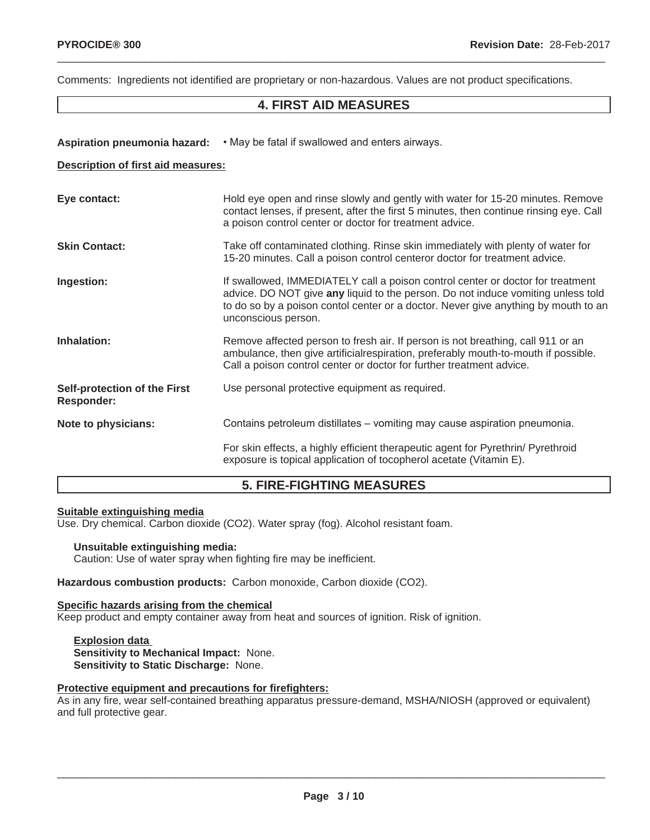Comments: Ingredients not identified are proprietary or non-hazardous. Values are not product specifications.

# **4. FIRST AID MEASURES**

 $\_$  ,  $\_$  ,  $\_$  ,  $\_$  ,  $\_$  ,  $\_$  ,  $\_$  ,  $\_$  ,  $\_$  ,  $\_$  ,  $\_$  ,  $\_$  ,  $\_$  ,  $\_$  ,  $\_$  ,  $\_$  ,  $\_$  ,  $\_$  ,  $\_$  ,  $\_$  ,  $\_$  ,  $\_$  ,  $\_$  ,  $\_$  ,  $\_$  ,  $\_$  ,  $\_$  ,  $\_$  ,  $\_$  ,  $\_$  ,  $\_$  ,  $\_$  ,  $\_$  ,  $\_$  ,  $\_$  ,  $\_$  ,  $\_$  ,

Aspiration pneumonia hazard:  $\cdot$  May be fatal if swallowed and enters airways.

#### **Description of first aid measures:**

| Eye contact:                               | Hold eye open and rinse slowly and gently with water for 15-20 minutes. Remove<br>contact lenses, if present, after the first 5 minutes, then continue rinsing eye. Call<br>a poison control center or doctor for treatment advice.                                             |
|--------------------------------------------|---------------------------------------------------------------------------------------------------------------------------------------------------------------------------------------------------------------------------------------------------------------------------------|
| <b>Skin Contact:</b>                       | Take off contaminated clothing. Rinse skin immediately with plenty of water for<br>15-20 minutes. Call a poison control centeror doctor for treatment advice.                                                                                                                   |
| Ingestion:                                 | If swallowed, IMMEDIATELY call a poison control center or doctor for treatment<br>advice. DO NOT give any liquid to the person. Do not induce vomiting unless told<br>to do so by a poison contol center or a doctor. Never give anything by mouth to an<br>unconscious person. |
| Inhalation:                                | Remove affected person to fresh air. If person is not breathing, call 911 or an<br>ambulance, then give artificial respiration, preferably mouth-to-mouth if possible.<br>Call a poison control center or doctor for further treatment advice.                                  |
| Self-protection of the First<br>Responder: | Use personal protective equipment as required.                                                                                                                                                                                                                                  |
| Note to physicians:                        | Contains petroleum distillates – vomiting may cause aspiration pneumonia.                                                                                                                                                                                                       |
|                                            | For skin effects, a highly efficient therapeutic agent for Pyrethrin/ Pyrethroid<br>exposure is topical application of tocopherol acetate (Vitamin E).                                                                                                                          |

# **5. FIRE-FIGHTING MEASURES**

#### **Suitable extinguishing media**

Use. Dry chemical. Carbon dioxide (CO2). Water spray (fog). Alcohol resistant foam.

#### **Unsuitable extinguishing media:**

Caution: Use of water spray when fighting fire may be inefficient.

#### **Hazardous combustion products:** Carbon monoxide, Carbon dioxide (CO2).

#### **Specific hazards arising from the chemical**

Keep product and empty container away from heat and sources of ignition. Risk of ignition.

**Explosion data Sensitivity to Mechanical Impact:** None. **Sensitivity to Static Discharge:** None.

## **Protective equipment and precautions for firefighters:**

As in any fire, wear self-contained breathing apparatus pressure-demand, MSHA/NIOSH (approved or equivalent) and full protective gear.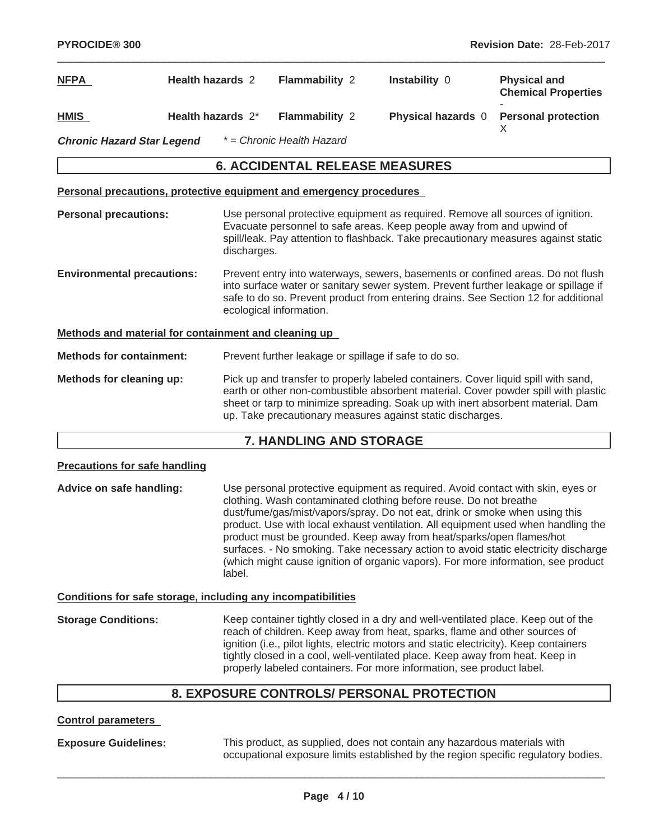| <b>NFPA</b>                                          | <b>Health hazards 2</b>                                             | Flammability 2                                        | Instability 0                                                                                                                                                                                                                                                                                                             | <b>Physical and</b><br><b>Chemical Properties</b> |
|------------------------------------------------------|---------------------------------------------------------------------|-------------------------------------------------------|---------------------------------------------------------------------------------------------------------------------------------------------------------------------------------------------------------------------------------------------------------------------------------------------------------------------------|---------------------------------------------------|
| <b>HMIS</b>                                          | Health hazards 2*                                                   | <b>Flammability 2</b>                                 | Physical hazards 0                                                                                                                                                                                                                                                                                                        | <b>Personal protection</b><br>X                   |
| <b>Chronic Hazard Star Legend</b>                    |                                                                     | * = Chronic Health Hazard                             |                                                                                                                                                                                                                                                                                                                           |                                                   |
|                                                      |                                                                     | <b>6. ACCIDENTAL RELEASE MEASURES</b>                 |                                                                                                                                                                                                                                                                                                                           |                                                   |
|                                                      | Personal precautions, protective equipment and emergency procedures |                                                       |                                                                                                                                                                                                                                                                                                                           |                                                   |
| <b>Personal precautions:</b>                         | discharges.                                                         |                                                       | Use personal protective equipment as required. Remove all sources of ignition.<br>Evacuate personnel to safe areas. Keep people away from and upwind of<br>spill/leak. Pay attention to flashback. Take precautionary measures against static                                                                             |                                                   |
| <b>Environmental precautions:</b>                    |                                                                     | ecological information.                               | Prevent entry into waterways, sewers, basements or confined areas. Do not flush<br>into surface water or sanitary sewer system. Prevent further leakage or spillage if<br>safe to do so. Prevent product from entering drains. See Section 12 for additional                                                              |                                                   |
| Methods and material for containment and cleaning up |                                                                     |                                                       |                                                                                                                                                                                                                                                                                                                           |                                                   |
| <b>Methods for containment:</b>                      |                                                                     | Prevent further leakage or spillage if safe to do so. |                                                                                                                                                                                                                                                                                                                           |                                                   |
| Methods for cleaning up:                             |                                                                     |                                                       | Pick up and transfer to properly labeled containers. Cover liquid spill with sand,<br>earth or other non-combustible absorbent material. Cover powder spill with plastic<br>sheet or tarp to minimize spreading. Soak up with inert absorbent material. Dam<br>up. Take precautionary measures against static discharges. |                                                   |

# **7. HANDLING AND STORAGE**

#### **Precautions for safe handling**

**Advice on safe handling:** Use personal protective equipment as required. Avoid contact with skin, eyes or clothing. Wash contaminated clothing before reuse. Do not breathe dust/fume/gas/mist/vapors/spray. Do not eat, drink or smoke when using this product. Use with local exhaust ventilation. All equipment used when handling the product must be grounded. Keep away from heat/sparks/open flames/hot surfaces. - No smoking. Take necessary action to avoid static electricity discharge (which might cause ignition of organic vapors). For more information, see product label.

#### **Conditions for safe storage, including any incompatibilities**

**Storage Conditions:** Keep container tightly closed in a dry and well-ventilated place. Keep out of the reach of children. Keep away from heat, sparks, flame and other sources of ignition (i.e., pilot lights, electric motors and static electricity). Keep containers tightly closed in a cool, well-ventilated place. Keep away from heat. Keep in properly labeled containers. For more information, see product label.

# **8. EXPOSURE CONTROLS/ PERSONAL PROTECTION**

**Control parameters**

**Exposure Guidelines:** This product, as supplied, does not contain any hazardous materials with occupational exposure limits established by the region specific regulatory bodies.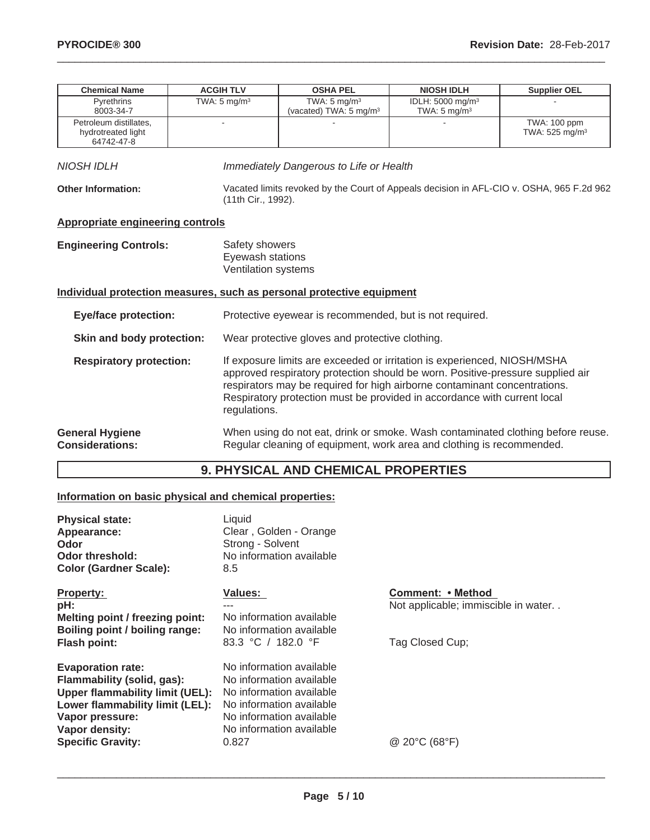| <b>Chemical Name</b>                                                                                                                                                                                                                                                                                                                                                  | <b>ACGIH TLV</b>                                          | <b>OSHA PEL</b>                                                                                                                                                                                                                    | <b>NIOSH IDLH</b>                                       | <b>Supplier OEL</b>                        |
|-----------------------------------------------------------------------------------------------------------------------------------------------------------------------------------------------------------------------------------------------------------------------------------------------------------------------------------------------------------------------|-----------------------------------------------------------|------------------------------------------------------------------------------------------------------------------------------------------------------------------------------------------------------------------------------------|---------------------------------------------------------|--------------------------------------------|
| Pyrethrins<br>8003-34-7                                                                                                                                                                                                                                                                                                                                               | TWA: $5 \text{ mg/m}^3$                                   | TWA: $5 \text{ mg/m}^3$<br>(vacated) TWA: 5 mg/m <sup>3</sup>                                                                                                                                                                      | IDLH: 5000 mg/m <sup>3</sup><br>TWA: $5 \text{ mg/m}^3$ |                                            |
| Petroleum distillates.<br>hydrotreated light<br>64742-47-8                                                                                                                                                                                                                                                                                                            |                                                           |                                                                                                                                                                                                                                    |                                                         | TWA: 100 ppm<br>TWA: 525 mg/m <sup>3</sup> |
| <b>NIOSH IDLH</b>                                                                                                                                                                                                                                                                                                                                                     |                                                           | Immediately Dangerous to Life or Health                                                                                                                                                                                            |                                                         |                                            |
| <b>Other Information:</b>                                                                                                                                                                                                                                                                                                                                             | (11th Cir., 1992).                                        | Vacated limits revoked by the Court of Appeals decision in AFL-CIO v. OSHA, 965 F.2d 962                                                                                                                                           |                                                         |                                            |
| <b>Appropriate engineering controls</b>                                                                                                                                                                                                                                                                                                                               |                                                           |                                                                                                                                                                                                                                    |                                                         |                                            |
| <b>Engineering Controls:</b>                                                                                                                                                                                                                                                                                                                                          | Safety showers<br>Eyewash stations<br>Ventilation systems |                                                                                                                                                                                                                                    |                                                         |                                            |
|                                                                                                                                                                                                                                                                                                                                                                       |                                                           | Individual protection measures, such as personal protective equipment                                                                                                                                                              |                                                         |                                            |
| <b>Eye/face protection:</b>                                                                                                                                                                                                                                                                                                                                           |                                                           | Protective eyewear is recommended, but is not required.                                                                                                                                                                            |                                                         |                                            |
| Skin and body protection:                                                                                                                                                                                                                                                                                                                                             |                                                           | Wear protective gloves and protective clothing.                                                                                                                                                                                    |                                                         |                                            |
| If exposure limits are exceeded or irritation is experienced, NIOSH/MSHA<br><b>Respiratory protection:</b><br>approved respiratory protection should be worn. Positive-pressure supplied air<br>respirators may be required for high airborne contaminant concentrations.<br>Respiratory protection must be provided in accordance with current local<br>regulations. |                                                           |                                                                                                                                                                                                                                    |                                                         |                                            |
|                                                                                                                                                                                                                                                                                                                                                                       |                                                           | $\mathcal{L}$ . The state of the state of the state of the state of the state of the state of the state of the state of the state of the state of the state of the state of the state of the state of the state of the state of th |                                                         |                                            |

**General Hygiene Considerations:** When using do not eat, drink or smoke. Wash contaminated clothing before reuse. Regular cleaning of equipment, work area and clothing is recommended.

# **9. PHYSICAL AND CHEMICAL PROPERTIES**

# **Information on basic physical and chemical properties:**

| <b>Physical state:</b><br>Appearance:<br>Odor<br><b>Odor threshold:</b><br><b>Color (Gardner Scale):</b>                                                                                             | Liquid<br>Clear, Golden - Orange<br>Strong - Solvent<br>No information available<br>8.5                                                                                       |                                                                                    |
|------------------------------------------------------------------------------------------------------------------------------------------------------------------------------------------------------|-------------------------------------------------------------------------------------------------------------------------------------------------------------------------------|------------------------------------------------------------------------------------|
| <b>Property:</b><br>pH:<br>Melting point / freezing point:<br>Boiling point / boiling range:<br><b>Flash point:</b>                                                                                  | <b>Values:</b><br>No information available<br>No information available<br>83.3 °C / 182.0 °F                                                                                  | <b>Comment: • Method</b><br>Not applicable; immiscible in water<br>Tag Closed Cup; |
| <b>Evaporation rate:</b><br>Flammability (solid, gas):<br><b>Upper flammability limit (UEL):</b><br>Lower flammability limit (LEL):<br>Vapor pressure:<br>Vapor density:<br><b>Specific Gravity:</b> | No information available<br>No information available<br>No information available<br>No information available<br>No information available<br>No information available<br>0.827 | @ 20°C (68°F)                                                                      |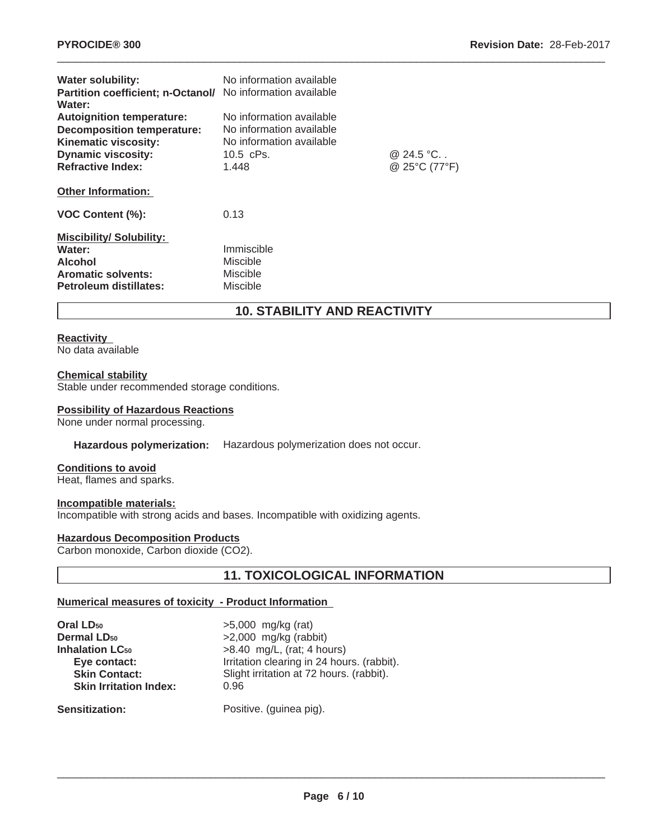| <b>Water solubility:</b><br>Partition coefficient; n-Octanol/ No information available<br>Water:                                                       | No information available                                                                                 |                            |
|--------------------------------------------------------------------------------------------------------------------------------------------------------|----------------------------------------------------------------------------------------------------------|----------------------------|
| <b>Autoignition temperature:</b><br><b>Decomposition temperature:</b><br>Kinematic viscosity:<br><b>Dynamic viscosity:</b><br><b>Refractive Index:</b> | No information available<br>No information available<br>No information available<br>$10.5$ cPs.<br>1.448 | @ 24.5 °C<br>@ 25°C (77°F) |
| <b>Other Information:</b>                                                                                                                              |                                                                                                          |                            |
| VOC Content (%):                                                                                                                                       | 0.13                                                                                                     |                            |
| <b>Miscibility/Solubility:</b><br>Water:<br><b>Alcohol</b><br><b>Aromatic solvents:</b><br>Petroleum distillates:                                      | Immiscible<br>Miscible<br>Miscible<br>Miscible                                                           |                            |

# **10. STABILITY AND REACTIVITY**

 $\_$  ,  $\_$  ,  $\_$  ,  $\_$  ,  $\_$  ,  $\_$  ,  $\_$  ,  $\_$  ,  $\_$  ,  $\_$  ,  $\_$  ,  $\_$  ,  $\_$  ,  $\_$  ,  $\_$  ,  $\_$  ,  $\_$  ,  $\_$  ,  $\_$  ,  $\_$  ,  $\_$  ,  $\_$  ,  $\_$  ,  $\_$  ,  $\_$  ,  $\_$  ,  $\_$  ,  $\_$  ,  $\_$  ,  $\_$  ,  $\_$  ,  $\_$  ,  $\_$  ,  $\_$  ,  $\_$  ,  $\_$  ,  $\_$  ,

#### **Reactivity**

No data available

#### **Chemical stability**

Stable under recommended storage conditions.

#### **Possibility of Hazardous Reactions**

None under normal processing.

#### **Hazardous polymerization:** Hazardous polymerization does not occur.

#### **Conditions to avoid**

Heat, flames and sparks.

#### **Incompatible materials:**

Incompatible with strong acids and bases. Incompatible with oxidizing agents.

#### **Hazardous Decomposition Products**

Carbon monoxide, Carbon dioxide (CO2).

# **11. TOXICOLOGICAL INFORMATION**

#### **Numerical measures of toxicity - Product Information**

| Oral LD <sub>50</sub>         |  |
|-------------------------------|--|
| <b>Dermal LD50</b>            |  |
| <b>Inhalation LC</b> 50       |  |
| Eye contact:                  |  |
| <b>Skin Contact:</b>          |  |
| <b>Skin Irritation Index:</b> |  |
|                               |  |

**Oral LD50** >5,000 mg/kg (rat) **Dermal LD50** >2,000 mg/kg (rabbit) **Inchalation A.5**  $\mu$  mg/L, (rat; 4 hours) Irritation clearing in 24 hours. (rabbit). Slight irritation at 72 hours. (rabbit). **Skin Irritation Index:** 0.96

#### Sensitization: Positive. (guinea pig).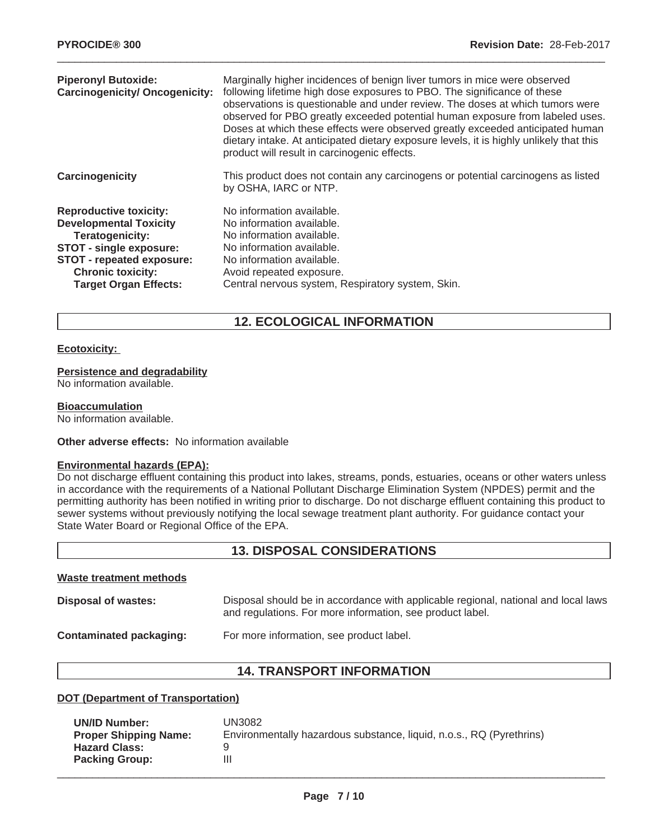| <b>Piperonyl Butoxide:</b><br><b>Carcinogenicity/ Oncogenicity:</b>                                                                                                                                          | Marginally higher incidences of benign liver tumors in mice were observed<br>following lifetime high dose exposures to PBO. The significance of these<br>observations is questionable and under review. The doses at which tumors were<br>observed for PBO greatly exceeded potential human exposure from labeled uses.<br>Doses at which these effects were observed greatly exceeded anticipated human<br>dietary intake. At anticipated dietary exposure levels, it is highly unlikely that this<br>product will result in carcinogenic effects. |
|--------------------------------------------------------------------------------------------------------------------------------------------------------------------------------------------------------------|-----------------------------------------------------------------------------------------------------------------------------------------------------------------------------------------------------------------------------------------------------------------------------------------------------------------------------------------------------------------------------------------------------------------------------------------------------------------------------------------------------------------------------------------------------|
| Carcinogenicity                                                                                                                                                                                              | This product does not contain any carcinogens or potential carcinogens as listed<br>by OSHA, IARC or NTP.                                                                                                                                                                                                                                                                                                                                                                                                                                           |
| <b>Reproductive toxicity:</b><br><b>Developmental Toxicity</b><br>Teratogenicity:<br>STOT - single exposure:<br><b>STOT - repeated exposure:</b><br><b>Chronic toxicity:</b><br><b>Target Organ Effects:</b> | No information available.<br>No information available.<br>No information available.<br>No information available.<br>No information available.<br>Avoid repeated exposure.<br>Central nervous system, Respiratory system, Skin.                                                                                                                                                                                                                                                                                                                      |

# **12. ECOLOGICAL INFORMATION**

#### **Ecotoxicity:**

## **Persistence and degradability**

No information available.

#### **Bioaccumulation**

No information available.

#### **Other adverse effects:** No information available

#### **Environmental hazards (EPA):**

Do not discharge effluent containing this product into lakes, streams, ponds, estuaries, oceans or other waters unless in accordance with the requirements of a National Pollutant Discharge Elimination System (NPDES) permit and the permitting authority has been notified in writing prior to discharge. Do not discharge effluent containing this product to sewer systems without previously notifying the local sewage treatment plant authority. For guidance contact your State Water Board or Regional Office of the EPA.

# **13. DISPOSAL CONSIDERATIONS**

#### **Waste treatment methods**

| Disposal of wastes:     | Disposal should be in accordance with applicable regional, national and local laws<br>and regulations. For more information, see product label. |
|-------------------------|-------------------------------------------------------------------------------------------------------------------------------------------------|
| Contaminated packaging: | For more information, see product label.                                                                                                        |

# **14. TRANSPORT INFORMATION**

#### **DOT (Department of Transportation)**

| <b>UN/ID Number:</b>         | UN3082                                                               |
|------------------------------|----------------------------------------------------------------------|
| <b>Proper Shipping Name:</b> | Environmentally hazardous substance, liquid, n.o.s., RQ (Pyrethrins) |
| <b>Hazard Class:</b>         |                                                                      |
| <b>Packing Group:</b>        |                                                                      |
|                              |                                                                      |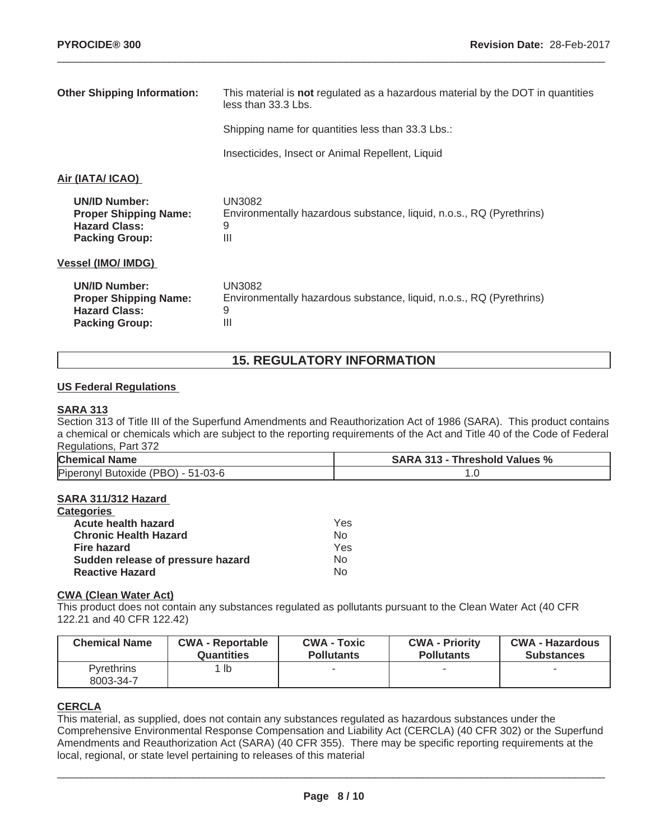| <b>Other Shipping Information:</b>                                                                    | This material is not regulated as a hazardous material by the DOT in quantities          |
|-------------------------------------------------------------------------------------------------------|------------------------------------------------------------------------------------------|
|                                                                                                       | less than 33.3 Lbs.                                                                      |
|                                                                                                       | Shipping name for quantities less than 33.3 Lbs.:                                        |
|                                                                                                       | Insecticides, Insect or Animal Repellent, Liquid                                         |
| Air (IATA/ ICAO)                                                                                      |                                                                                          |
| <b>UN/ID Number:</b><br><b>Proper Shipping Name:</b><br><b>Hazard Class:</b><br><b>Packing Group:</b> | UN3082<br>Environmentally hazardous substance, liquid, n.o.s., RQ (Pyrethrins)<br>9<br>Ш |
| <b>Vessel (IMO/ IMDG)</b>                                                                             |                                                                                          |
| <b>UN/ID Number:</b><br><b>Proper Shipping Name:</b><br><b>Hazard Class:</b><br><b>Packing Group:</b> | UN3082<br>Environmentally hazardous substance, liquid, n.o.s., RQ (Pyrethrins)<br>9<br>Ш |

# **15. REGULATORY INFORMATION**

#### **US Federal Regulations**

#### **SARA 313**

Section 313 of Title III of the Superfund Amendments and Reauthorization Act of 1986 (SARA). This product contains a chemical or chemicals which are subject to the reporting requirements of the Act and Title 40 of the Code of Federal Regulations, Part 372

| <b>Chemical Name</b>                              | <b>SARA 313 - Threshold Values %</b> |
|---------------------------------------------------|--------------------------------------|
| Piperonyl<br>/ (PBO) - 51-03-6<br><b>Butoxide</b> |                                      |

#### **SARA 311/312 Hazard**

| <b>Categories</b>                 |     |
|-----------------------------------|-----|
| Acute health hazard               | Yes |
| <b>Chronic Health Hazard</b>      | N٥  |
| <b>Fire hazard</b>                | Yes |
| Sudden release of pressure hazard | Nο  |
| <b>Reactive Hazard</b>            | N٥  |

#### **CWA (Clean Water Act)**

This product does not contain any substances regulated as pollutants pursuant to the Clean Water Act (40 CFR 122.21 and 40 CFR 122.42)

| <b>Chemical Name</b>           | <b>CWA - Reportable</b> | <b>CWA - Toxic</b> | <b>CWA - Priority</b> | <b>CWA - Hazardous</b> |
|--------------------------------|-------------------------|--------------------|-----------------------|------------------------|
|                                | <b>Quantities</b>       | <b>Pollutants</b>  | <b>Pollutants</b>     | <b>Substances</b>      |
| <b>Pyrethrins</b><br>8003-34-7 | $1$ lb                  |                    |                       |                        |

# **CERCLA**

This material, as supplied, does not contain any substances regulated as hazardous substances under the Comprehensive Environmental Response Compensation and Liability Act (CERCLA) (40 CFR 302) or the Superfund Amendments and Reauthorization Act (SARA) (40 CFR 355). There may be specific reporting requirements at the local, regional, or state level pertaining to releases of this material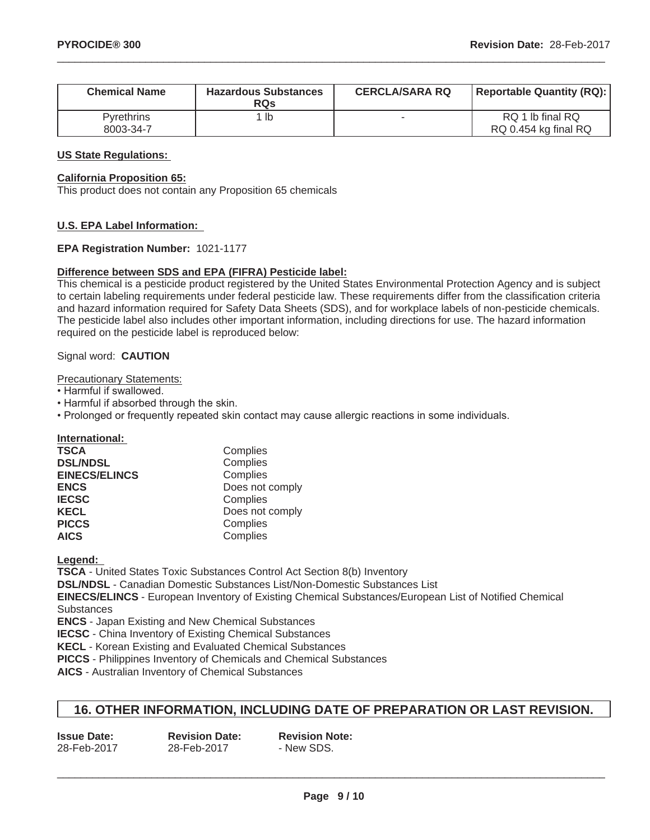| <b>Chemical Name</b>           | <b>Hazardous Substances</b><br><b>RQs</b> | <b>CERCLA/SARA RQ</b> | <b>Reportable Quantity (RQ):</b>         |
|--------------------------------|-------------------------------------------|-----------------------|------------------------------------------|
| <b>Pyrethrins</b><br>8003-34-7 | ' lb                                      |                       | RQ 1 lb final RQ<br>RQ 0.454 kg final RQ |

#### **US State Regulations:**

#### **California Proposition 65:**

This product does not contain any Proposition 65 chemicals

#### **U.S. EPA Label Information:**

#### **EPA Registration Number:** 1021-1177

#### **Difference between SDS and EPA (FIFRA) Pesticide label:**

This chemical is a pesticide product registered by the United States Environmental Protection Agency and is subject to certain labeling requirements under federal pesticide law. These requirements differ from the classification criteria and hazard information required for Safety Data Sheets (SDS), and for workplace labels of non-pesticide chemicals. The pesticide label also includes other important information, including directions for use. The hazard information required on the pesticide label is reproduced below:

#### Signal word: **CAUTION**

Precautionary Statements:

- Harmful if swallowed.
- Harmful if absorbed through the skin.
- Prolonged or frequently repeated skin contact may cause allergic reactions in some individuals.

|  |  |  |  |  |  |  |  |  |  |  | <b>International:</b> |  |  |  |
|--|--|--|--|--|--|--|--|--|--|--|-----------------------|--|--|--|
|--|--|--|--|--|--|--|--|--|--|--|-----------------------|--|--|--|

| <b>TSCA</b>          | Complies        |
|----------------------|-----------------|
| <b>DSL/NDSL</b>      | Complies        |
| <b>EINECS/ELINCS</b> | Complies        |
| <b>ENCS</b>          | Does not comply |
| <b>IECSC</b>         | Complies        |
| <b>KECL</b>          | Does not comply |
| <b>PICCS</b>         | Complies        |
| <b>AICS</b>          | Complies        |

**Legend:**

**TSCA** - United States Toxic Substances Control Act Section 8(b) Inventory

**DSL/NDSL** - Canadian Domestic Substances List/Non-Domestic Substances List

**EINECS/ELINCS** - European Inventory of Existing Chemical Substances/European List of Notified Chemical **Substances** 

**ENCS** - Japan Existing and New Chemical Substances

**IECSC** - China Inventory of Existing Chemical Substances

**KECL** - Korean Existing and Evaluated Chemical Substances

**PICCS** - Philippines Inventory of Chemicals and Chemical Substances

**AICS** - Australian Inventory of Chemical Substances

#### **16. OTHER INFORMATION, INCLUDING DATE OF PREPARATION OR LAST REVISION.**

| <b>Issue Date:</b> | <b>Revision Date:</b> | <b>Revision Note:</b> |
|--------------------|-----------------------|-----------------------|
| 28-Feb-2017        | 28-Feb-2017           | - New SDS.            |